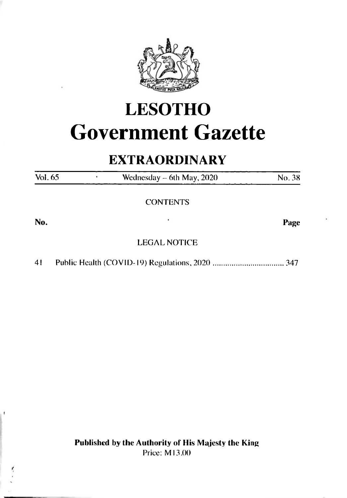

# **LESOTHO Government Gazette**

# **EXTRAORDINARY**

| Vol. 65 | Wednesday $-$ 6th May, 2020 | No. 38 |
|---------|-----------------------------|--------|
|         | <b>CONTENTS</b>             |        |
| No.     | ٠                           | Page   |
|         | <b>LEGAL NOTICE</b>         |        |

41 Public Health (COVID-19) Regulations, 2020..................................347

**Published by the Authority of His Majesty the King** Price: Ml3.00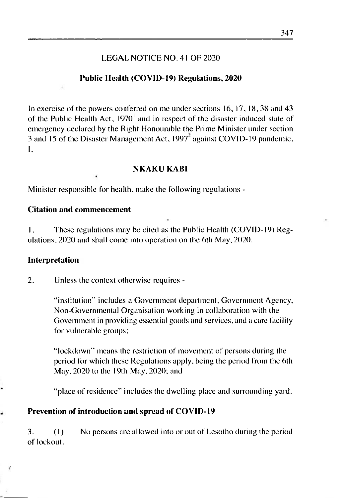#### LEGAL NOTICE NO. 4<sup>1</sup> OF <sup>2020</sup>

#### **Public Health (COVID-19) Regulations, 2020**

In exercise of'the powers conferred on me under sections 16, 17, 18, 38 and 43 of the Public Health Act,  $1970<sup>1</sup>$  and in respect of the disaster induced state of emergency declared by the Right Honourable the Prime Minister under section 3 and 15 of the Disaster Management Act. 1997" against COVID-19 pandemic, I,

#### **NKAKU KABI**

Minister responsible for health, make the following regulations -

#### **Citation and commencement**

1. These regulations may be cited as the Public Health (COVID-19) Regulations. 2020 and shall come into operation on the 6th May, 2020.

#### **Interpretation**

2. Unless the context otherwise requires -

"institution" includes a Government department. Government Agency, Non-Governmental Organisation working in collaboration with the Government in providing essential goods and services, and a care facility for vulnerable groups;

"lockdown" means (he restriction of movement of persons during the period for which these Regulations apply, being the period from the 6th May. 2020 to the 19th May. 2020; and

"place of residence" includes the dwelling place and surrounding yard.

#### **Prevention of introduction and spread of COVID-19**

3. (I) No persons arc allowed into or out of Lesotho during the period of lockout.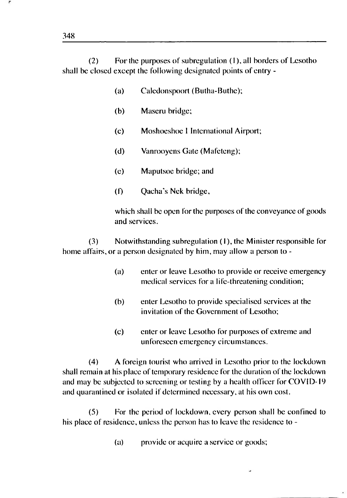(2) For the purposes of subregulation (I), all borders of Lesotho shall be closed except the following designated points of entry -

- (a) Caledonspoort (Butha-Buthe);
- (b) Maseru bridge;
- (c) Moshoeshoe <sup>1</sup> International Airport;
- (d) Vanrooyens Gate (Mafeteng);
- (e) Maputsoe bridge; and
- (f) Qacha's Nek bridge,

which shall be open for the purposes of the conveyance of goods and services.

(3) Notwithstanding subregulation (I), the Minister responsible for home affairs, or a person designated by him, may allow a person to -

- (a) enter or leave Lesotho to provide or receive emergency medical services for a life-threatening condition;
- (b) enter Lesotho to provide specialised services at the invitation of the Government of Lesotho;
- (c) enter or leave Lesotho for purposes of extreme and unforeseen emergency circumstances.

(4) A foreign tourist who arrived in Lesotho prior to the lockdown shall remain at his place of temporary residence for the duration of the lockdown and may be subjected to screening or testing by a health officer for COVID-19 and quarantined or isolated if determined necessary, at his own cost.

(5) For the period of lockdown, every person shall be confined to his place of residence, unless the person has to leave the residence to -

(a) provide or acquire a service or goods;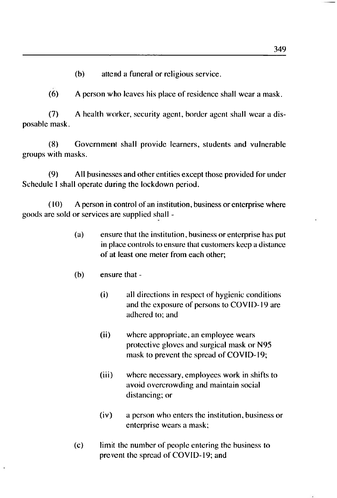(b) attend a funeral or religious service.

(6) A person who leaves his place of residence shall wear a mask.

(7) A health worker, security agent, border agent shall wear a disposable mask.

(8) Government shall provide learners, students and vulnerable groups with masks.

(9) All businesses and other entities except those provided for under Schedule <sup>I</sup> shall operate during the lockdown period.

(10) A person in control of an institution, business or enterprise where goods arc sold or services are supplied shall -

- (a) ensure that the institution, business or enterprise has put in place controls to ensure that customers keep a distance of at least one meter from each other;
- (b) ensure that
	- (i) all directions in respect of hygienic conditions and the exposure of persons to COVID-19 are adhered to; and
	- (ii) where appropriate, an employee wears protective gloves and surgical mask or N95 mask to prevent the spread of COVID-19;
	- (iii) where necessary, employees work in shifts to avoid overcrowding and maintain social distancing; or
	- (iv) a person who enters the institution, business or enterprise wears a mask;
- (c) limit the number of people entering the business to prevent the spread of COVID-19; and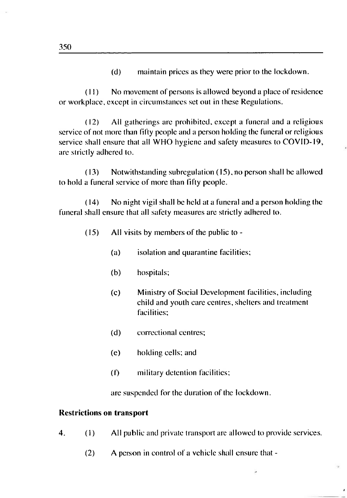(d) maintain prices as they were prior to the lockdown.

(11) No movement of persons is allowed beyond a place of residence or workplace, except in circumstances set out in these Regulations.

(12) All gatherings are prohibited, except a funeral and a religious service of not more than fifty people and a person holding the funeral or religious service shall ensure that all WHO hygiene and safety measures to COVID-19, are strictly adhered to.

(13) Notwithstanding subregulation (15), no person shall be allowed to hold a funeral service of more than fifty people.

(14) No night vigil shall be held at a funeral and a person holding the funeral shall ensure that all safety measures are strictly adhered to.

- (15) All visits by members of the public to
	- (a) isolation and quarantine facilities;
	- (b) hospitals;
	- (c) Ministry of Social Development facilities, including child and youth care centres, shelters and treatment facilities;
	- (d) correctional centres;
	- (e) holding cells; and
	- (f) military detention facilities;

are suspended for the duration of the lockdown.

#### **Restrictions on transport**

- 4. (1) All public and private transport arc allowed to provide services.
	- (2) A person in control of a vehicle shall ensure that -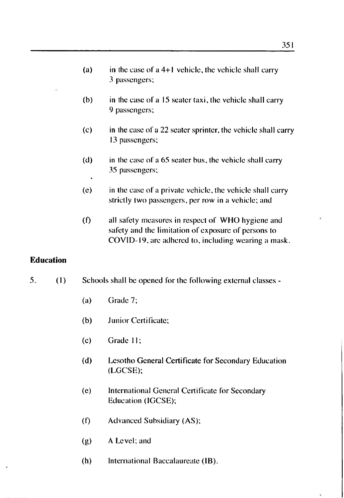- (a) in the case of a  $4+1$  vehicle, the vehicle shall carry 3 passengers;
- (b) in the case of a 15 seater taxi, the vehicle shall carry 9 passengers;
- (c) in the case of a 22 seater sprinter, the vehicle shall carry 13 passengers;
- (d) in the case of a 65 seater bus, the vehicle shall carry 35 passengers;
- (e) in the case of a private vehicle, the vehicle shall carry strictly two passengers, per row in a vehicle; and
- (f) all safety measures in respect of WHO hygiene and safety and the limitation of exposure of persons to COVID-19, are adhered to, including wearing a mask.

#### **Education**

- 5. (1) Schools shall be opened for the following external classes
	- (a) Grade 7;

\*

- (b) Junior Certificate;
- (c) Grade 11;
- (d) Lesotho General Certificate for Secondary Education (LGCSE);
- (e) InternationalGeneral Certificate for Secondary Education (IGCSE);
- (f) Advanced Subsidiary (AS);
- (g) A Level; and
- (h) International Baccalaureate (IB).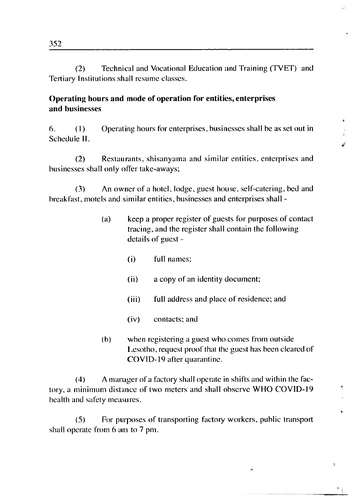(2) Technical and Vocational Education and Training (TVET) and Tertiary Institutions shall resume classes.

#### **Operating hours and mode of operation for entities, enterprises and businesses**

6. (I) Operating hours for enterprises, businesses shall be as set out in Schedule II.

(2) Restaurants, shisanyama and similar entities, enterprises and businesses shall only offer take-aways;

(3) An owner of a hotel, lodge, guest house, self-catering, bed and breakfast, motels and similar entities, businesses and enterprises shall -

- (a) keep a proper register of guests for purposes of contact tracing, and the register shall contain the following details of guest -
	- (i) full names;
	- (ii) a copy of an identity document;
	- (iii) full address and place of residence; and
	- (iv) contacts; and
- (b) when registering a guest who comes from outside Lesotho, request proof that the guest has been cleared of COVID-19 after quarantine.

v

 $\overline{\mathbf{z}}$ 

(4) A manager of a factory shall operate in shifts and within the factory, a minimum distance of two meters and shall observe WHO COVID-19 health and safety measures.

(5) For purposes of transporting factory workers, public transport shall operate from 6 am to 7 pm.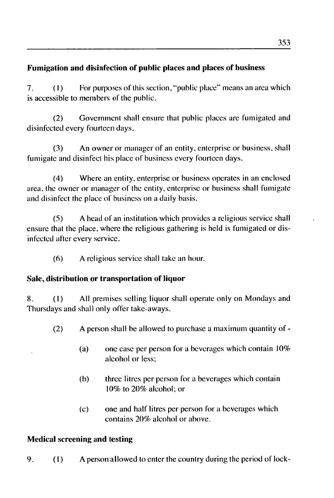# **Fumigation and disinfection of public places and places of business**

7.  $(1)$  For purposes of this section, "public place" means an area which is accessible to members of the public.

(2) Government shall ensure that public places are fumigated and disinfected every fourteen days.

(3) An owner or manager of an entity, enterprise or business, shall fumigate and disinfect his place of business every fourteen days.

(4) Where an entity, enterprise or business operates in an enclosed area, the owner or manager of the entity, enterprise or business shall fumigate and disinfect the place of business on a daily basis.

(5) A head of an institution which provides a religious service shall ensure that the place, where the religious gathering is held is fumigated or disinfected after every service.

(6) A religious service shall take an hour.

# **Sale, distribution or transportation of liquor**

8. (1) All premises selling liquor shall operate only on Mondays and Thursdays and shall only offer take-aways.

- (2) A person shall be allowed to purchase a maximum quantity of
	- (a) one case per person for a beverages which contain 10% alcohol or less;
	- (b) three litres per person for a beverages which contain 10% to 20% alcohol; or
	- (c) one and half litres per person for a beverages which contains 20% alcohol or above.

# **Medical screening and testing**

9. (I) <sup>A</sup> person allowed to enter the country during the period of lock-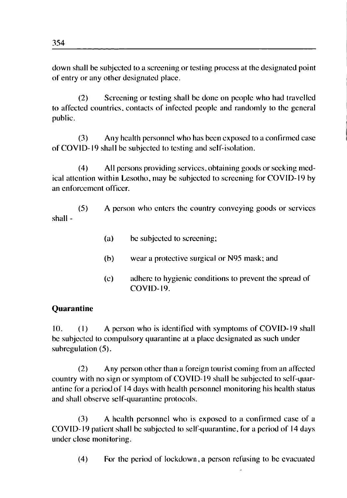down shall be subjected to a screening or testing process at the designated point of entry or any other designated place.

(2) Screening or testing shall be done on people who had travelled to affected countries, contacts of infected people and randomly to the general public.

(3) Any health personnel who has been exposed to a confirmed case of COVID-19 shall be subjected to testing and self-isolation.

(4) All persons providing services, obtaining goods or seeking medical attention within Lesotho, may be subjected to screening for COVID-19 by an enforcement officer.

(5) A person who enters the country conveying goods or services shall -

- (a) be subjected to screening;
- (b) wear a protective surgical or N95 mask; and
- (c) adhere to hygienic conditions to prevent the spread of COVID-19.

#### **Quarantine**

10. (I) A person who is identified with symptoms of COVID-19 shall be subjected to compulsory quarantine at a place designated as such under subregulation (5).

(2) Any person other than a foreign tourist coming from an affected country with no sign or symptom of COVID-19 shall be subjected to self-quarantine fora period of 14 days with health personnel monitoring his health status and shall observe self-quarantine protocols.

(3) A health personnel who is exposed to a confirmed case of a COVID-19 patient shall be subjected to self-quarantine, for a period of 14 days under close monitoring.

(4) For the period of lockdown,a person refusing to be evacuated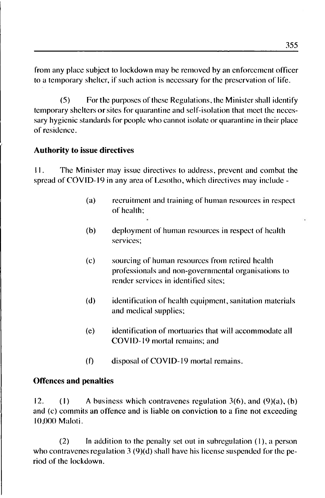from any place subject to lockdown may be removed by an enforcement officer to a temporary shelter, if such action is necessary for the preservation of life.

(5) For the purposes of these Regulations, the Minister shall identify temporary shelters orsites for quarantine and self-isolation that meet the necessary hygienic standards for people who cannot isolate or quarantine in their place of residence.

#### **Authority to issue directives**

11. The Minister may issue directives to address, prevent and combat the spread of CÓVID-I9 in any area of Lesotho, which directives may include -

- (a) recruitment and training of human resources in respect of health;
- (b) deployment of human resources in respect of health services;
- (c) sourcing of human resources from retired health professionals and non-governmental organisations to render services in identified sites;
- (d) identification of health equipment, sanitation materials and medical supplies;
- (e) identification of mortuaries that will accommodate all COVID-19 mortal remains; and
- (f) disposal of COVID-19 mortal remains.

#### **Offences and penalties**

12. (1) A business which contravenes regulation  $3(6)$ , and  $(9)(a)$ , (b) and (c) commits an offence and is liable on conviction to a fine not exceeding 10,000 Maloti.

(2) In addition to the penalty set out in subregulation (I), a person who contravenes regulation 3 (9)(d) shall have his license suspended for the period of the lockdown.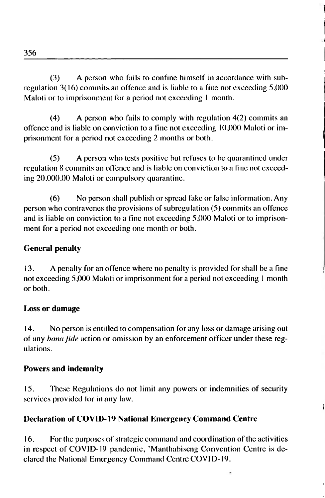(3) A person who fails to confine himself in accordance with subregulation 3(16) commitsan offence and is liable to a fine not exceeding 5,000 Maloti or to imprisonment for a period not exceeding <sup>1</sup> month.

(4) A person who fails to comply with regulation 4(2) commits an offence and is liable on conviction to a fine not exceeding 10,000 Maloti or imprisonment for a period not exceeding 2 months or both.

(5) A person who tests positive but refuses to be quarantined under regulation 8 commits an offence and is liable on conviction to a fine not exceeding 20,000.00 Maloti or compulsory quarantine.

(6) No person shall publish or spread fake or false information. Any person who contravenes the provisions of subregulation (5) commits an offence and is liable on conviction to a fine not exceeding 5,000 Maloti or to imprisonment for a period not exceeding one month or both.

# **General penalty**

13. A penalty for an offence where no penalty is provided for shall be a fine not exceeding 5,000 Maloti or imprisonment for a period not exceeding <sup>I</sup> month or both.

# **Loss or damage**

14. No person is entitled to compensation for any loss or damage arising out of any *bona fide* action or omission by an enforcement officer under these regulations.

# **Powers and indemnity**

15. These Regulations do not limit any powers or indemnities of security services provided for in any law.

# **Declaration of COVID-19 National Emergency Command Centre**

16. For the purposes of strategic command and coordination of the activities in respect of COVID-<sup>19</sup> pandemic, 'Manthabiscng Convention Centre is declared the National Emergency Command CcntreCOVID-19.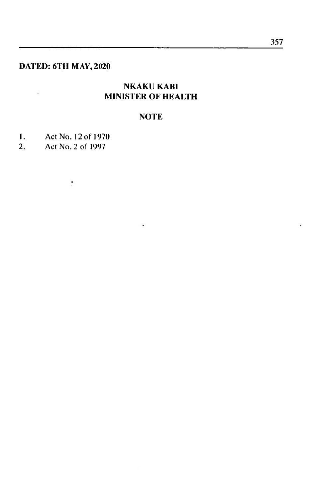# **DATED: 6TH MAY,2020**

 $\lambda$ 

# **NKAKU KABI MINISTER OF HEALTH**

# **NOTE**

 $\cdot$ 

- 1. Act No. 12 of 1970<br>2. Act No. 2 of 1997
- 2. Act No. 2 of 1997

 $\cdot$ 

 $\mathcal{L}$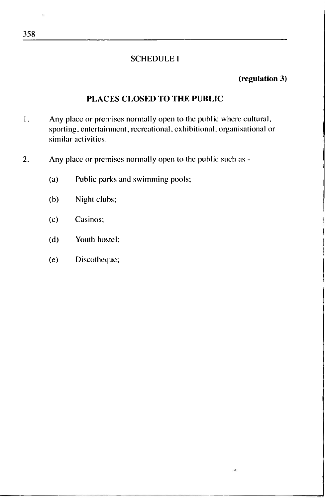#### SCHEDULE <sup>1</sup>

#### **(regulation 3)**

#### **PLACES CLOSED TO THE PUBLIC**

- 1. Any place or premises normally open to the public where cultural, sporting, entertainment, recreational, exhibitional, organisational or similar activities.
- 2. Any place or premises normally open to the public such as
	- (a) Public parks and swimming pools;
	- (b) Night clubs;
	- (c) Casinos;
	- (d) Youth hostel;
	- (e) Discotheque;